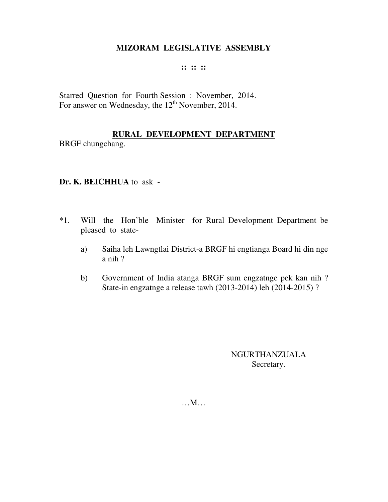#### **:: :: ::**

Starred Question for Fourth Session : November, 2014. For answer on Wednesday, the  $12<sup>th</sup>$  November, 2014.

# **RURAL DEVELOPMENT DEPARTMENT**

BRGF chungchang.

# **Dr. K. BEICHHUA** to ask -

- \*1. Will the Hon'ble Minister for Rural Development Department be pleased to state
	- a) Saiha leh Lawngtlai District-a BRGF hi engtianga Board hi din nge a nih ?
	- b) Government of India atanga BRGF sum engzatnge pek kan nih ? State-in engzatnge a release tawh (2013-2014) leh (2014-2015) ?

NGURTHANZUALA Secretary.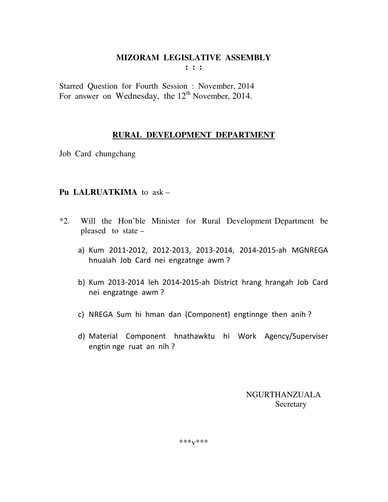Starred Question for Fourth Session : November, 2014 For answer on Wednesday, the  $12<sup>th</sup>$  November, 2014.

# **RURAL DEVELOPMENT DEPARTMENT**

Job Card chungchang

### **Pu LALRUATKIMA** to ask –

- \*2. Will the Hon'ble Minister for Rural Development Department be pleased to state –
	- a) Kum 2011-2012, 2012-2013, 2013-2014, 2014-2015-ah MGNREGA hnuaiah Job Card nei engzatnge awm ?
	- b) Kum 2013-2014 leh 2014-2015-ah District hrang hrangah Job Card nei engzatnge awm ?
	- c) NREGA Sum hi hman dan (Component) engtinnge then anih ?
	- d) Material Component hnathawktu hi Work Agency/Superviser engtin nge ruat an nih ?

 NGURTHANZUALA Secretary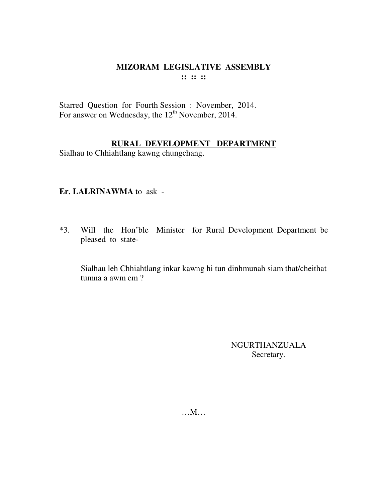Starred Question for Fourth Session : November, 2014. For answer on Wednesday, the  $12<sup>th</sup>$  November, 2014.

# **RURAL DEVELOPMENT DEPARTMENT**

Sialhau to Chhiahtlang kawng chungchang.

# **Er. LALRINAWMA** to ask -

\*3. Will the Hon'ble Minister for Rural Development Department be pleased to state-

 Sialhau leh Chhiahtlang inkar kawng hi tun dinhmunah siam that/cheithat tumna a awm em ?

> NGURTHANZUALA Secretary.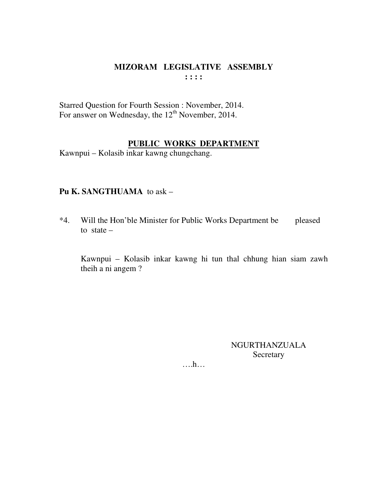Starred Question for Fourth Session : November, 2014. For answer on Wednesday, the  $12<sup>th</sup>$  November, 2014.

# **PUBLIC WORKS DEPARTMENT**

Kawnpui – Kolasib inkar kawng chungchang.

# **Pu K. SANGTHUAMA** to ask –

\*4. Will the Hon'ble Minister for Public Works Department be pleased to state  $-$ 

 Kawnpui – Kolasib inkar kawng hi tun thal chhung hian siam zawh theih a ni angem ?

> NGURTHANZUALA Secretary

….h…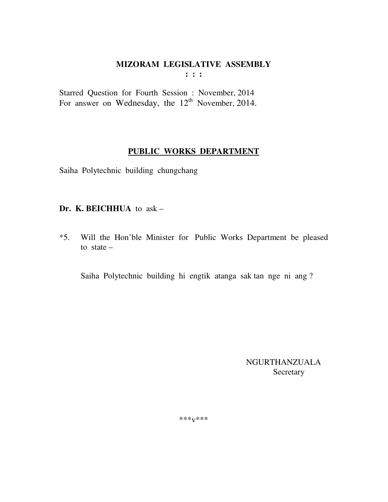**: : :** 

Starred Question for Fourth Session : November, 2014 For answer on Wednesday, the  $12<sup>th</sup>$  November, 2014.

# **PUBLIC WORKS DEPARTMENT**

Saiha Polytechnic building chungchang

# **Dr. K. BEICHHUA** to ask –

\*5. Will the Hon'ble Minister for Public Works Department be pleased to state  $-$ 

Saiha Polytechnic building hi engtik atanga sak tan nge ni ang ?

 NGURTHANZUALA Secretary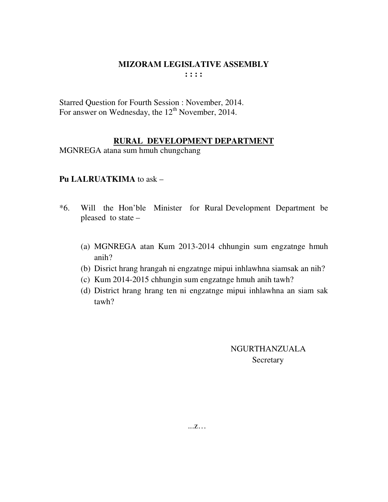Starred Question for Fourth Session : November, 2014. For answer on Wednesday, the  $12<sup>th</sup>$  November, 2014.

# **RURAL DEVELOPMENT DEPARTMENT**

MGNREGA atana sum hmuh chungchang

# **Pu LALRUATKIMA** to ask –

- \*6. Will the Hon'ble Minister for Rural Development Department be pleased to state –
	- (a) MGNREGA atan Kum 2013-2014 chhungin sum engzatnge hmuh anih?
	- (b) Disrict hrang hrangah ni engzatnge mipui inhlawhna siamsak an nih?
	- (c) Kum 2014-2015 chhungin sum engzatnge hmuh anih tawh?
	- (d) District hrang hrang ten ni engzatnge mipui inhlawhna an siam sak tawh?

# NGURTHANZUALA **Secretary**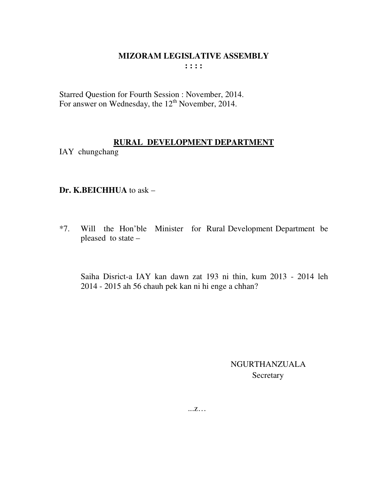Starred Question for Fourth Session : November, 2014. For answer on Wednesday, the  $12<sup>th</sup>$  November, 2014.

# **RURAL DEVELOPMENT DEPARTMENT**

IAY chungchang

# **Dr. K.BEICHHUA** to ask –

\*7. Will the Hon'ble Minister for Rural Development Department be pleased to state –

 Saiha Disrict-a IAY kan dawn zat 193 ni thin, kum 2013 - 2014 leh 2014 - 2015 ah 56 chauh pek kan ni hi enge a chhan?

> NGURTHANZUALA Secretary

...z…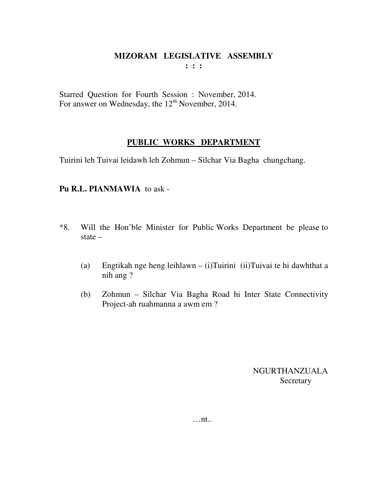Starred Question for Fourth Session : November, 2014. For answer on Wednesday, the  $12<sup>th</sup>$  November, 2014.

# **PUBLIC WORKS DEPARTMENT**

Tuirini leh Tuivai leidawh leh Zohmun – Silchar Via Bagha chungchang.

# **Pu R.L. PIANMAWIA** to ask -

- \*8. Will the Hon'ble Minister for Public Works Department be please to state –
	- (a) Engtikah nge heng leihlawn (i)Tuirini (ii)Tuivai te hi dawhthat a nih ang ?
	- (b) Zohmun Silchar Via Bagha Road hi Inter State Connectivity Project-ah ruahmanna a awm em ?

NGURTHANZUALA **Secretary**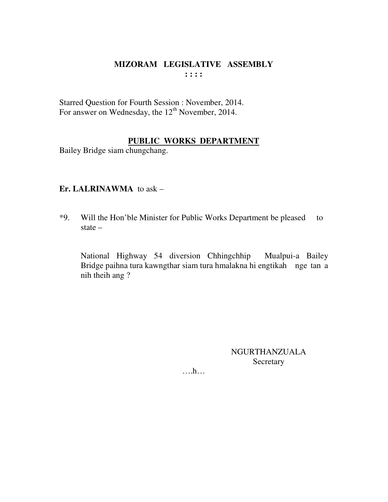Starred Question for Fourth Session : November, 2014. For answer on Wednesday, the  $12<sup>th</sup>$  November, 2014.

# **PUBLIC WORKS DEPARTMENT**

Bailey Bridge siam chungchang.

# **Er. LALRINAWMA** to ask –

\*9. Will the Hon'ble Minister for Public Works Department be pleased to state –

 National Highway 54 diversion Chhingchhip Mualpui-a Bailey Bridge paihna tura kawngthar siam tura hmalakna hi engtikah nge tan a nih theih ang ?

> NGURTHANZUALA Secretary

….h…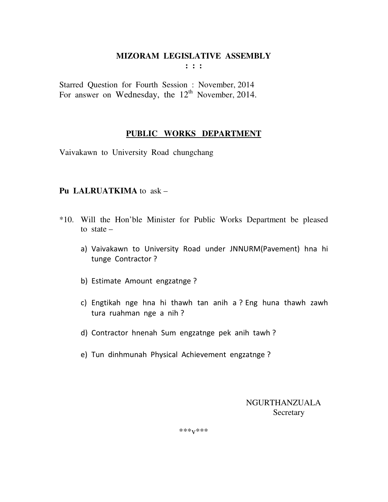Starred Question for Fourth Session : November, 2014 For answer on Wednesday, the  $12<sup>th</sup>$  November, 2014.

# **PUBLIC WORKS DEPARTMENT**

Vaivakawn to University Roadchungchang

# **Pu LALRUATKIMA** to ask –

- \*10. Will the Hon'ble Minister for Public Works Department be pleased to state –
	- a) Vaivakawn to University Road under JNNURM(Pavement) hna hi tunge Contractor ?
	- b) Estimate Amount engzatnge ?
	- c) Engtikah nge hna hi thawh tan anih a ? Eng huna thawh zawh tura ruahman nge a nih ?
	- d) Contractor hnenah Sum engzatnge pek anih tawh ?
	- e) Tun dinhmunah Physical Achievement engzatnge ?

 NGURTHANZUALA **Secretary**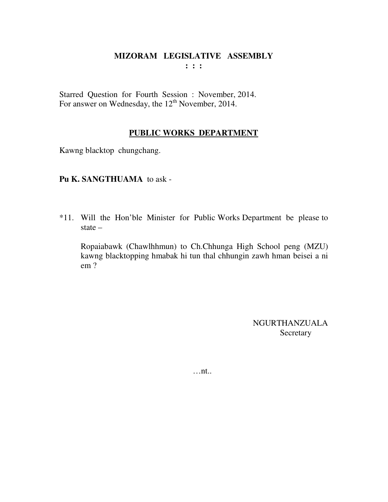Starred Question for Fourth Session : November, 2014. For answer on Wednesday, the  $12<sup>th</sup>$  November, 2014.

# **PUBLIC WORKS DEPARTMENT**

Kawng blacktop chungchang.

# **Pu K. SANGTHUAMA** to ask -

\*11. Will the Hon'ble Minister for Public Works Department be please to state –

 Ropaiabawk (Chawlhhmun) to Ch.Chhunga High School peng (MZU) kawng blacktopping hmabak hi tun thal chhungin zawh hman beisei a ni em ?

> NGURTHANZUALA Secretary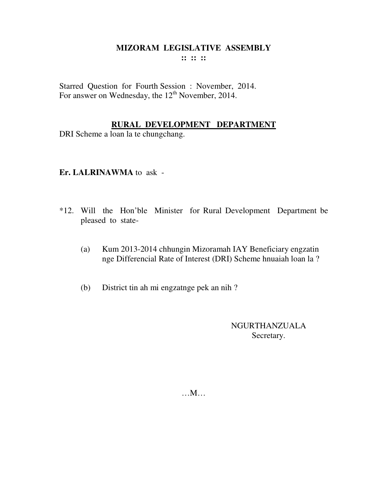**:: :: ::** 

Starred Question for Fourth Session : November, 2014. For answer on Wednesday, the  $12<sup>th</sup>$  November, 2014.

# **RURAL DEVELOPMENT DEPARTMENT**

DRI Scheme a loan la te chungchang.

# **Er. LALRINAWMA** to ask -

- \*12. Will the Hon'ble Minister for Rural Development Department be pleased to state-
	- (a) Kum 2013-2014 chhungin Mizoramah IAY Beneficiary engzatin nge Differencial Rate of Interest (DRI) Scheme hnuaiah loan la ?
	- (b) District tin ah mi engzatnge pek an nih ?

NGURTHANZUALA Secretary.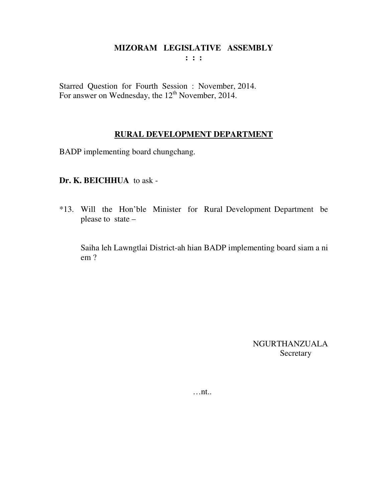**: : :** 

Starred Question for Fourth Session : November, 2014. For answer on Wednesday, the  $12<sup>th</sup>$  November, 2014.

### **RURAL DEVELOPMENT DEPARTMENT**

BADP implementing board chungchang.

# **Dr. K. BEICHHUA** to ask -

\*13. Will the Hon'ble Minister for Rural Development Department be please to state –

 Saiha leh Lawngtlai District-ah hian BADP implementing board siam a ni em ?

> NGURTHANZUALA Secretary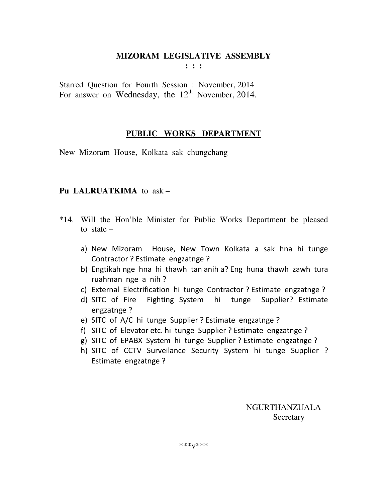Starred Question for Fourth Session : November, 2014 For answer on Wednesday, the  $12<sup>th</sup>$  November, 2014.

# **PUBLIC WORKS DEPARTMENT**

New Mizoram House, Kolkata sak chungchang

# **Pu LALRUATKIMA** to ask –

- \*14. Will the Hon'ble Minister for Public Works Department be pleased to state –
	- a) New Mizoram House, New Town Kolkata a sak hna hi tunge Contractor ? Estimate engzatnge ?
	- b) Engtikah nge hna hi thawh tan anih a? Eng huna thawh zawh tura ruahman nge a nih ?
	- c) External Electrification hi tunge Contractor ? Estimate engzatnge ?
	- d) SITC of Fire Fighting System hi tunge Supplier? Estimate engzatnge ?
	- e) SITC of A/C hi tunge Supplier ? Estimate engzatnge ?
	- f) SITC of Elevator etc. hi tunge Supplier ? Estimate engzatnge ?
	- g) SITC of EPABX System hi tunge Supplier ? Estimate engzatnge ?
	- h) SITC of CCTV Surveilance Security System hi tunge Supplier ? Estimate engzatnge ?

 NGURTHANZUALA **Secretary**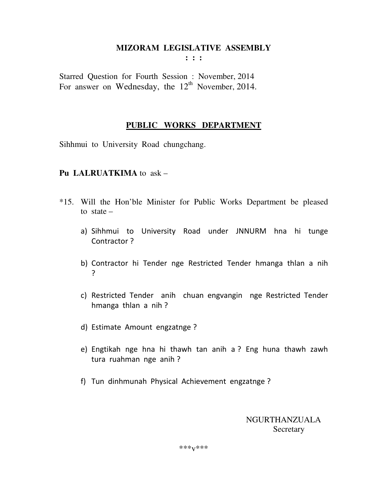**: : :** 

Starred Question for Fourth Session : November, 2014 For answer on Wednesday, the  $12<sup>th</sup>$  November, 2014.

### **PUBLIC WORKS DEPARTMENT**

Sihhmui to University Road chungchang.

# **Pu LALRUATKIMA** to ask –

- \*15. Will the Hon'ble Minister for Public Works Department be pleased to state –
	- a) Sihhmui to University Road under JNNURM hna hi tunge Contractor ?
	- b) Contractor hi Tender nge Restricted Tender hmanga thlan a nih ?
	- c) Restricted Tender anih chuan engvangin nge Restricted Tender hmanga thlan a nih ?
	- d) Estimate Amount engzatnge ?
	- e) Engtikah nge hna hi thawh tan anih a ? Eng huna thawh zawh tura ruahman nge anih ?
	- f) Tun dinhmunah Physical Achievement engzatnge ?

 NGURTHANZUALA **Secretary**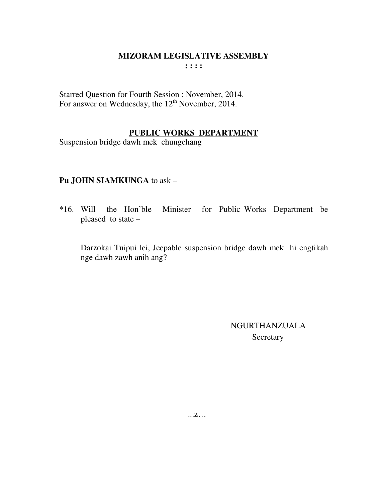Starred Question for Fourth Session : November, 2014. For answer on Wednesday, the 12<sup>th</sup> November, 2014.

# **PUBLIC WORKS DEPARTMENT**

Suspension bridge dawh mek chungchang

# **Pu JOHN SIAMKUNGA** to ask –

\*16. Will the Hon'ble Minister for Public Works Department be pleased to state –

 Darzokai Tuipui lei, Jeepable suspension bridge dawh mek hi engtikah nge dawh zawh anih ang?

> NGURTHANZUALA **Secretary**

...z…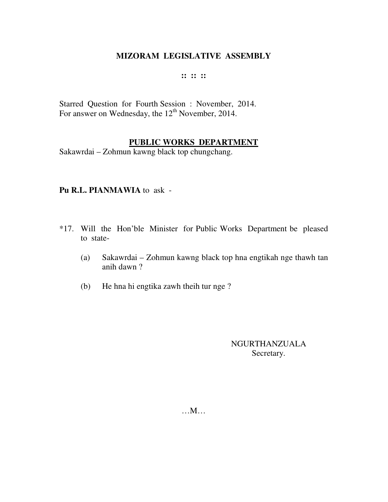#### **:: :: ::**

Starred Question for Fourth Session : November, 2014. For answer on Wednesday, the  $12<sup>th</sup>$  November, 2014.

# **PUBLIC WORKS DEPARTMENT**

Sakawrdai – Zohmun kawng black top chungchang.

### **Pu R.L. PIANMAWIA** to ask -

- \*17. Will the Hon'ble Minister for Public Works Department be pleased to state-
	- (a) Sakawrdai Zohmun kawng black top hna engtikah nge thawh tan anih dawn ?
	- (b) He hna hi engtika zawh theih tur nge ?

# NGURTHANZUALA Secretary.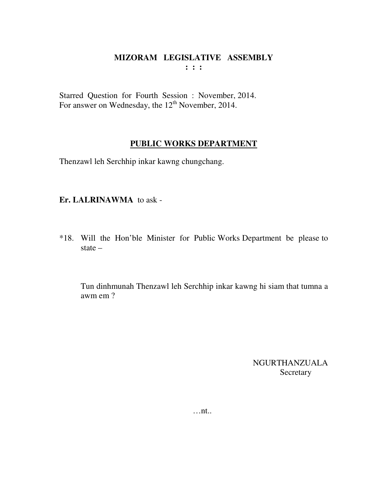Starred Question for Fourth Session : November, 2014. For answer on Wednesday, the  $12<sup>th</sup>$  November, 2014.

# **PUBLIC WORKS DEPARTMENT**

Thenzawl leh Serchhip inkar kawng chungchang.

# **Er. LALRINAWMA** to ask -

\*18. Will the Hon'ble Minister for Public Works Department be please to state –

 Tun dinhmunah Thenzawl leh Serchhip inkar kawng hi siam that tumna a awm em ?

> NGURTHANZUALA Secretary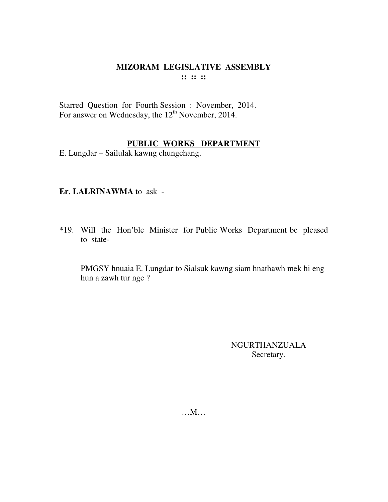Starred Question for Fourth Session : November, 2014. For answer on Wednesday, the  $12<sup>th</sup>$  November, 2014.

# **PUBLIC WORKS DEPARTMENT**

E. Lungdar – Sailulak kawng chungchang.

# **Er. LALRINAWMA** to ask -

\*19. Will the Hon'ble Minister for Public Works Department be pleased to state-

 PMGSY hnuaia E. Lungdar to Sialsuk kawng siam hnathawh mek hi eng hun a zawh tur nge ?

> NGURTHANZUALA Secretary.